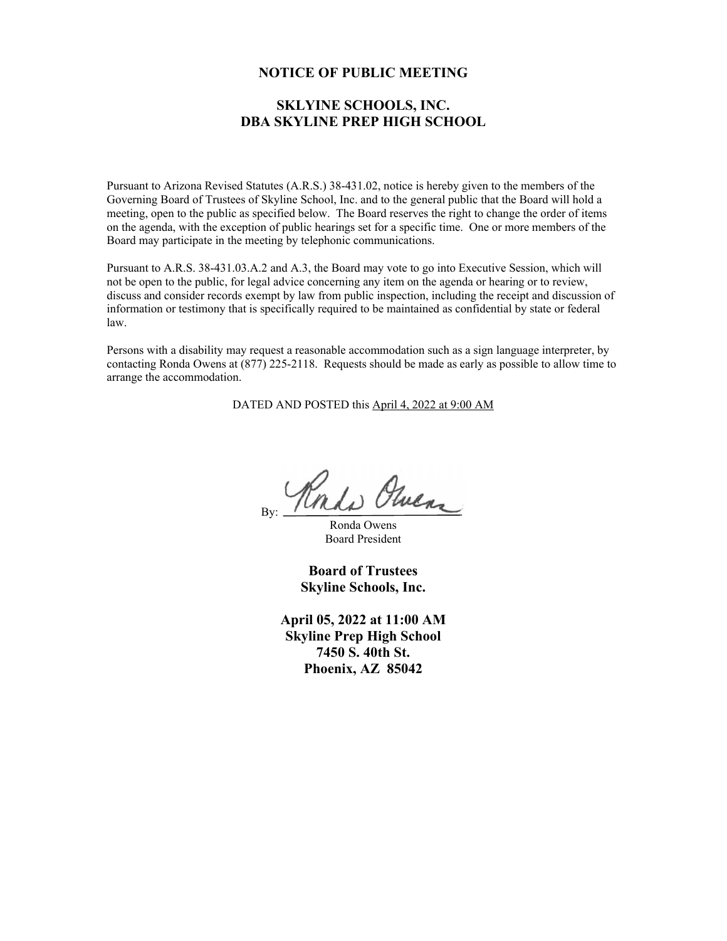#### **NOTICE OF PUBLIC MEETING**

## **SKLYINE SCHOOLS, INC. DBA SKYLINE PREP HIGH SCHOOL**

Pursuant to Arizona Revised Statutes (A.R.S.) 38-431.02, notice is hereby given to the members of the Governing Board of Trustees of Skyline School, Inc. and to the general public that the Board will hold a meeting, open to the public as specified below. The Board reserves the right to change the order of items on the agenda, with the exception of public hearings set for a specific time. One or more members of the Board may participate in the meeting by telephonic communications.

Pursuant to A.R.S. 38-431.03.A.2 and A.3, the Board may vote to go into Executive Session, which will not be open to the public, for legal advice concerning any item on the agenda or hearing or to review, discuss and consider records exempt by law from public inspection, including the receipt and discussion of information or testimony that is specifically required to be maintained as confidential by state or federal law.

Persons with a disability may request a reasonable accommodation such as a sign language interpreter, by contacting Ronda Owens at (877) 225-2118. Requests should be made as early as possible to allow time to arrange the accommodation.

DATED AND POSTED this April 4, 2022 at 9:00 AM

Roado Olucar By:

Ronda Owens Board President

**Board of Trustees Skyline Schools, Inc.** 

**April 05, 2022 at 11:00 AM Skyline Prep High School 7450 S. 40th St. Phoenix, AZ 85042**